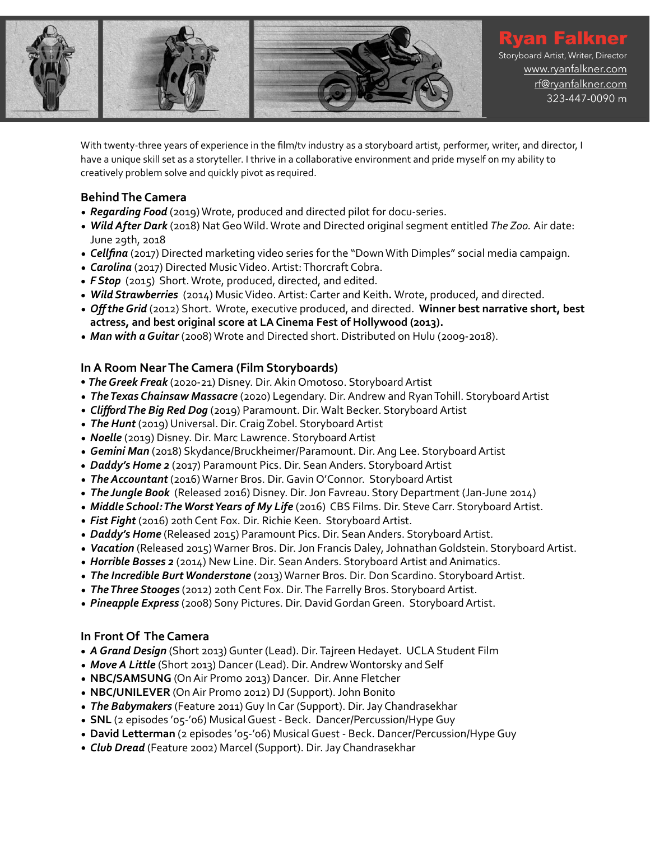

With twenty-three years of experience in the film/tv industry as a storyboard artist, performer, writer, and director, I have a unique skill set as a storyteller. I thrive in a collaborative environment and pride myself on my ability to creatively problem solve and quickly pivot as required.

## **Behind The Camera**

- **Regarding Food** (2019) Wrote, produced and directed pilot for docu-series.
- *Wild After Dark* (2018) Nat Geo Wild. Wrote and Directed original segment entitled *The Zoo.* Air date: June 29th, 2018
- *Cellfina* (2017) Directed marketing video series for the "Down With Dimples" social media campaign.
- *Carolina* (2017) Directed Music Video. Artist: Thorcraft Cobra.
- **F Stop** (2015) Short. Wrote, produced, directed, and edited.
- Wild Strawberries (2014) Music Video. Artist: Carter and Keith. Wrote, produced, and directed.
- Off the Grid (2012) Short. Wrote, executive produced, and directed. Winner best narrative short, best actress, and best original score at LA Cinema Fest of Hollywood (2013).
- Man with a Guitar (2008) Wrote and Directed short. Distributed on Hulu (2009-2018).

# **In A Room Near The Camera (Film Storyboards)**

- The Greek Freak (2020-21) Disney. Dir. Akin Omotoso. Storyboard Artist
- *The Texas Chainsaw Massacre* (2020) Legendary. Dir. Andrew and Ryan Tohill. Storyboard Artist
- *Clifford The Big Red Dog* (2019) Paramount. Dir. Walt Becker. Storyboard Artist
- The Hunt (2019) Universal. Dir. Craig Zobel. Storyboard Artist
- *Noelle* (2019) Disney. Dir. Marc Lawrence. Storyboard Artist
- Gemini Man (2018) Skydance/Bruckheimer/Paramount. Dir. Ang Lee. Storyboard Artist
- Daddy's Home 2 (2017) Paramount Pics. Dir. Sean Anders. Storyboard Artist
- The Accountant (2016) Warner Bros. Dir. Gavin O'Connor. Storyboard Artist
- The Jungle Book (Released 2016) Disney. Dir. Jon Favreau. Story Department (Jan-June 2014)
- *Middle School: The Worst Years of My Life* (2016) CBS Films. Dir. Steve Carr. Storyboard Artist.
- Fist Fight (2016) 20th Cent Fox. Dir. Richie Keen. Storyboard Artist.
- Daddy's Home (Released 2015) Paramount Pics. Dir. Sean Anders. Storyboard Artist.
- Vacation (Released 2015) Warner Bros. Dir. Jon Francis Daley, Johnathan Goldstein. Storyboard Artist.
- *Horrible Bosses 2* (2014) New Line. Dir. Sean Anders. Storyboard Artist and Animatics.
- The Incredible Burt Wonderstone (2013) Warner Bros. Dir. Don Scardino. Storyboard Artist.
- *The Three Stooges* (2012) 20th Cent Fox. Dir. The Farrelly Bros. Storyboard Artist.
- *Pineapple Express* (2008) Sony Pictures. Dir. David Gordan Green. Storyboard Artist.

### **In Front Of The Camera**

- *A Grand Design* (Short 2013) Gunter (Lead). Dir. Tajreen Hedayet. UCLA Student Film
- Move A Little (Short 2013) Dancer (Lead). Dir. Andrew Wontorsky and Self
- **NBC/SAMSUNG** (On Air Promo 2013) Dancer. Dir. Anne Fletcher
- **NBC/UNILEVER** (On Air Promo 2012) DJ (Support). John Bonito
- *The Babymakers* (Feature 2011) Guy In Car (Support). Dir. Jay Chandrasekhar
- **SNL** (2 episodes 'o5-'06) Musical Guest Beck. Dancer/Percussion/Hype Guy
- David Letterman (2 episodes '05-'06) Musical Guest Beck. Dancer/Percussion/Hype Guy
- Club Dread (Feature 2002) Marcel (Support). Dir. Jay Chandrasekhar